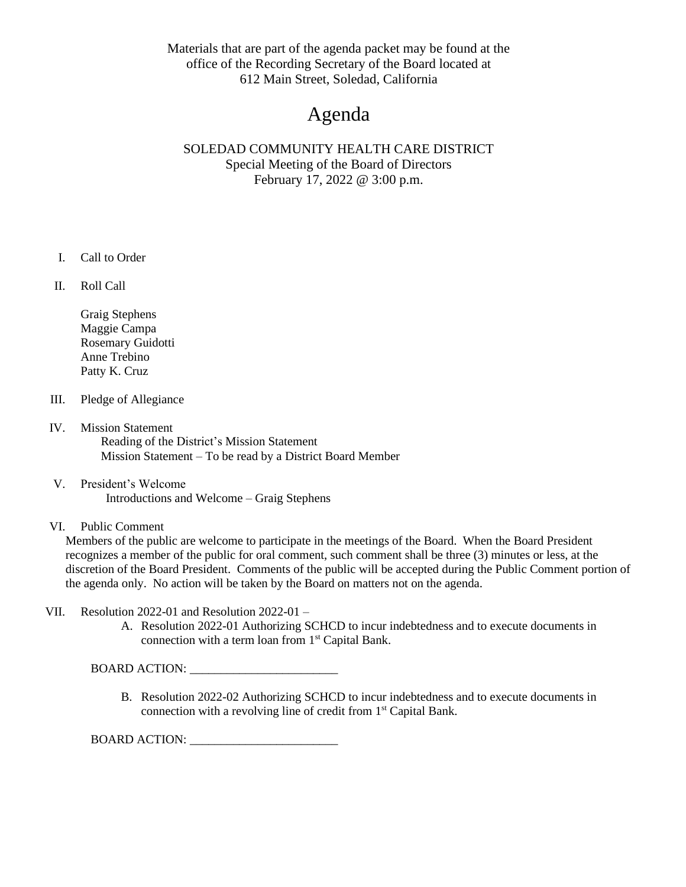Materials that are part of the agenda packet may be found at the office of the Recording Secretary of the Board located at 612 Main Street, Soledad, California

## Agenda

## SOLEDAD COMMUNITY HEALTH CARE DISTRICT Special Meeting of the Board of Directors February 17, 2022 @ 3:00 p.m.

- I. Call to Order
- II. Roll Call

Graig Stephens Maggie Campa Rosemary Guidotti Anne Trebino Patty K. Cruz

- III. Pledge of Allegiance
- IV. Mission Statement

Reading of the District's Mission Statement Mission Statement – To be read by a District Board Member

- V. President's Welcome Introductions and Welcome – Graig Stephens
- VI. Public Comment

Members of the public are welcome to participate in the meetings of the Board. When the Board President recognizes a member of the public for oral comment, such comment shall be three (3) minutes or less, at the discretion of the Board President. Comments of the public will be accepted during the Public Comment portion of the agenda only. No action will be taken by the Board on matters not on the agenda.

- VII. Resolution 2022-01 and Resolution 2022-01
	- A. Resolution 2022-01 Authorizing SCHCD to incur indebtedness and to execute documents in connection with a term loan from 1<sup>st</sup> Capital Bank.

BOARD ACTION: \_\_\_\_\_\_\_\_\_\_\_\_\_\_\_\_\_\_\_\_\_\_\_\_

B. Resolution 2022-02 Authorizing SCHCD to incur indebtedness and to execute documents in connection with a revolving line of credit from 1<sup>st</sup> Capital Bank.

BOARD ACTION: \_\_\_\_\_\_\_\_\_\_\_\_\_\_\_\_\_\_\_\_\_\_\_\_